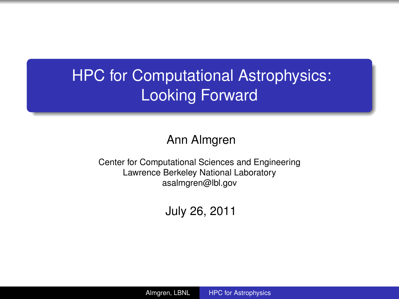# **HPC for Computational Astrophysics:** Looking Forward

#### Ann Almgren

Center for Computational Sciences and Engineering Lawrence Berkeley National Laboratory asalmgren@lbl.gov

<span id="page-0-0"></span>July 26, 2011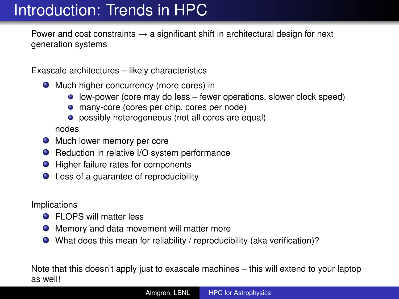## Introduction: Trends in HPC

Power and cost constraints  $\rightarrow$  a significant shift in architectural design for next generation systems

Exascale architectures – likely characteristics

- **O** Much higher concurrency (more cores) in
	- **.** low-power (core may do less fewer operations, slower clock speed)
	- many-core (cores per chip, cores per node)
	- **•** possibly heterogeneous (not all cores are equal)

nodes

- **O** Much lower memory per core
- Reduction in relative I/O system performance
- Higher failure rates for components
- Less of a guarantee of reproducibility

Implications

- **•** FLOPS will matter less
- Memory and data movement will matter more
- What does this mean for reliability / reproducibility (aka verification)?

Note that this doesn't apply just to exascale machines – this will extend to your laptop as well!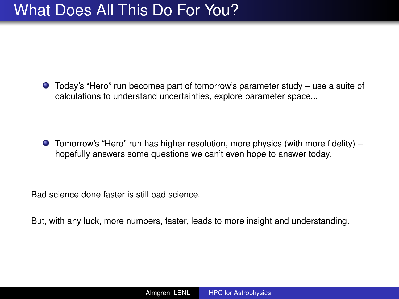### What Does All This Do For You?

Today's "Hero" run becomes part of tomorrow's parameter study – use a suite of calculations to understand uncertainties, explore parameter space...

 $\bullet$  Tomorrow's "Hero" run has higher resolution, more physics (with more fidelity) – hopefully answers some questions we can't even hope to answer today.

Bad science done faster is still bad science.

But, with any luck, more numbers, faster, leads to more insight and understanding.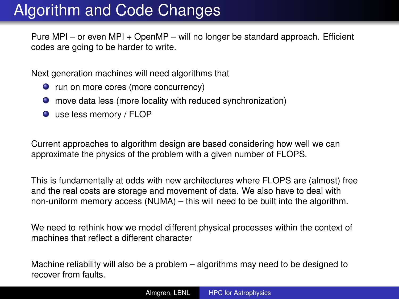## Algorithm and Code Changes

Pure MPI – or even MPI + OpenMP – will no longer be standard approach. Efficient codes are going to be harder to write.

Next generation machines will need algorithms that

- **O** run on more cores (more concurrency)
- move data less (more locality with reduced synchronization)
- use less memory / FLOP

Current approaches to algorithm design are based considering how well we can approximate the physics of the problem with a given number of FLOPS.

This is fundamentally at odds with new architectures where FLOPS are (almost) free and the real costs are storage and movement of data. We also have to deal with non-uniform memory access (NUMA) – this will need to be built into the algorithm.

We need to rethink how we model different physical processes within the context of machines that reflect a different character

Machine reliability will also be a problem – algorithms may need to be designed to recover from faults.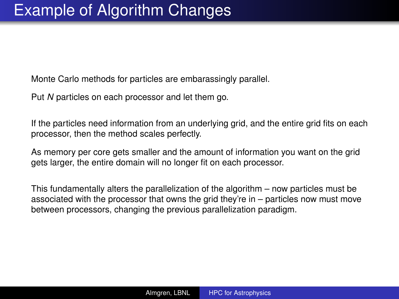Monte Carlo methods for particles are embarassingly parallel.

Put *N* particles on each processor and let them go.

If the particles need information from an underlying grid, and the entire grid fits on each processor, then the method scales perfectly.

As memory per core gets smaller and the amount of information you want on the grid gets larger, the entire domain will no longer fit on each processor.

This fundamentally alters the parallelization of the algorithm – now particles must be associated with the processor that owns the grid they're in – particles now must move between processors, changing the previous parallelization paradigm.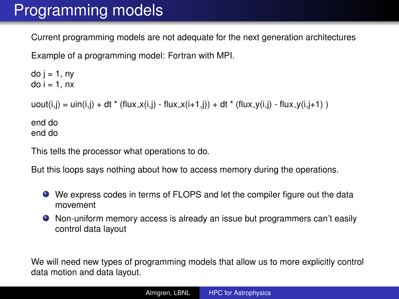## Programming models

Current programming models are not adequate for the next generation architectures

Example of a programming model: Fortran with MPI.

```
do j = 1, ny
do i = 1, nx
uout(i,j) = uin(i,j) + dt * (flux_x(i,j) - flux_x(i+1,j)) + dt * (flux_y(i,j) - flux_y(i,j+1))
end do
end do
```
This tells the processor what operations to do.

But this loops says nothing about how to access memory during the operations.

- We express codes in terms of FLOPS and let the compiler figure out the data movement
- Non-uniform memory access is already an issue but programmers can't easily control data layout

We will need new types of programming models that allow us to more explicitly control data motion and data layout.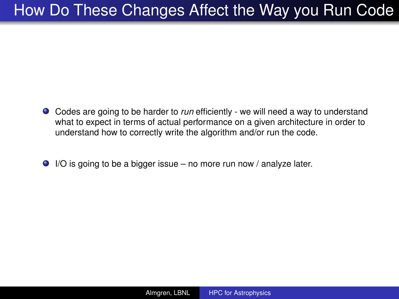## How Do These Changes Affect the Way you Run Code

- Codes are going to be harder to *run* efficiently we will need a way to understand what to expect in terms of actual performance on a given architecture in order to understand how to correctly write the algorithm and/or run the code.
- $\bullet$  I/O is going to be a bigger issue no more run now / analyze later.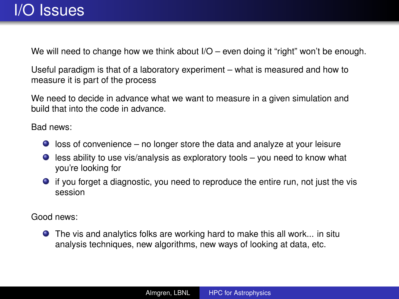We will need to change how we think about  $1/O -$  even doing it "right" won't be enough.

Useful paradigm is that of a laboratory experiment – what is measured and how to measure it is part of the process

We need to decide in advance what we want to measure in a given simulation and build that into the code in advance.

Bad news:

- $\bullet$  loss of convenience no longer store the data and analyze at your leisure
- $\bullet$  less ability to use vis/analysis as exploratory tools you need to know what you're looking for
- if you forget a diagnostic, you need to reproduce the entire run, not just the vis session

Good news:

The vis and analytics folks are working hard to make this all work... in situ analysis techniques, new algorithms, new ways of looking at data, etc.